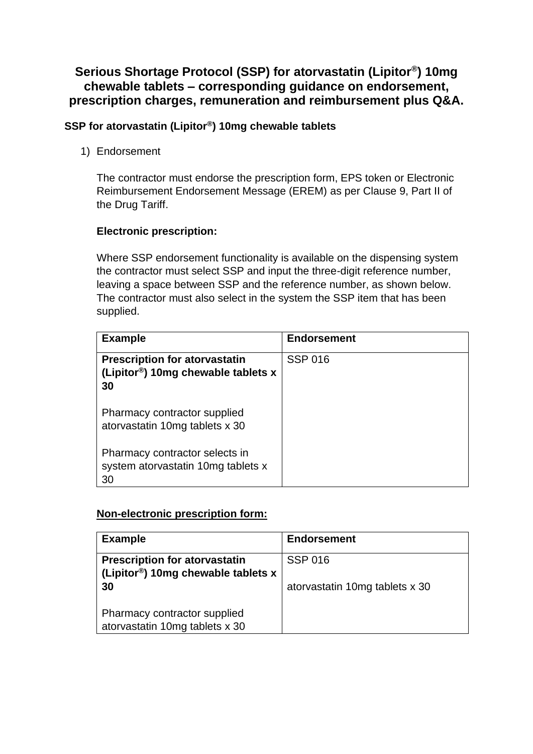## **Serious Shortage Protocol (SSP) for atorvastatin (Lipitor® ) 10mg chewable tablets – corresponding guidance on endorsement, prescription charges, remuneration and reimbursement plus Q&A.**

## **SSP for atorvastatin (Lipitor®) 10mg chewable tablets**

1) Endorsement

The contractor must endorse the prescription form, EPS token or Electronic Reimbursement Endorsement Message (EREM) as per Clause 9, Part II of the Drug Tariff.

## **Electronic prescription:**

Where SSP endorsement functionality is available on the dispensing system the contractor must select SSP and input the three-digit reference number, leaving a space between SSP and the reference number, as shown below. The contractor must also select in the system the SSP item that has been supplied.

| <b>Example</b>                                                                                  | <b>Endorsement</b> |
|-------------------------------------------------------------------------------------------------|--------------------|
| <b>Prescription for atorvastatin</b><br>(Lipitor <sup>®</sup> ) 10mg chewable tablets $x$<br>30 | <b>SSP 016</b>     |
| Pharmacy contractor supplied<br>atorvastatin 10mg tablets x 30                                  |                    |
| Pharmacy contractor selects in<br>system atorvastatin 10mg tablets x<br>30                      |                    |

### **Non-electronic prescription form:**

| <b>Example</b>                                                             | <b>Endorsement</b>             |
|----------------------------------------------------------------------------|--------------------------------|
| <b>Prescription for atorvastatin</b><br>(Lipitor®) 10mg chewable tablets x | <b>SSP 016</b>                 |
| 30                                                                         | atorvastatin 10mg tablets x 30 |
| Pharmacy contractor supplied<br>atorvastatin 10mg tablets x 30             |                                |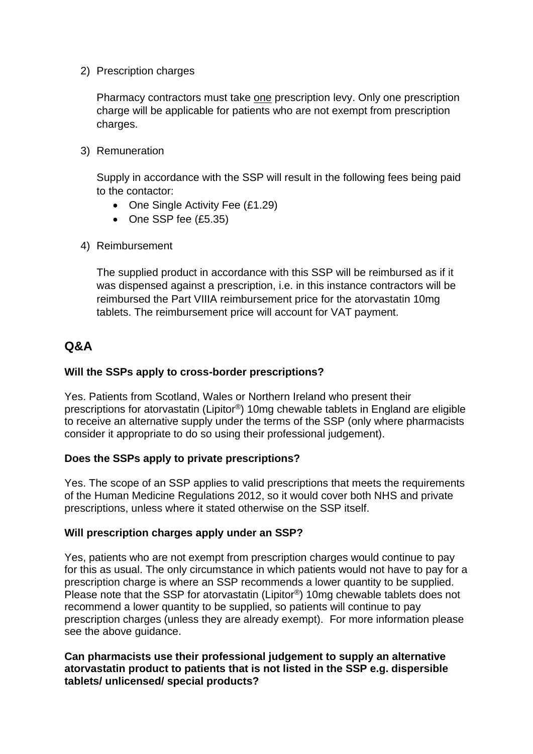2) Prescription charges

Pharmacy contractors must take one prescription levy. Only one prescription charge will be applicable for patients who are not exempt from prescription charges.

3) Remuneration

Supply in accordance with the SSP will result in the following fees being paid to the contactor:

- One Single Activity Fee (£1.29)
- One SSP fee (£5.35)
- 4) Reimbursement

The supplied product in accordance with this SSP will be reimbursed as if it was dispensed against a prescription, i.e. in this instance contractors will be reimbursed the Part VIIIA reimbursement price for the atorvastatin 10mg tablets. The reimbursement price will account for VAT payment.

# **Q&A**

### **Will the SSPs apply to cross-border prescriptions?**

Yes. Patients from Scotland, Wales or Northern Ireland who present their prescriptions for atorvastatin (Lipitor®) 10mg chewable tablets in England are eligible to receive an alternative supply under the terms of the SSP (only where pharmacists consider it appropriate to do so using their professional judgement).

## **Does the SSPs apply to private prescriptions?**

Yes. The scope of an SSP applies to valid prescriptions that meets the requirements of the Human Medicine Regulations 2012, so it would cover both NHS and private prescriptions, unless where it stated otherwise on the SSP itself.

### **Will prescription charges apply under an SSP?**

Yes, patients who are not exempt from prescription charges would continue to pay for this as usual. The only circumstance in which patients would not have to pay for a prescription charge is where an SSP recommends a lower quantity to be supplied. Please note that the SSP for atorvastatin (Lipitor®) 10mg chewable tablets does not recommend a lower quantity to be supplied, so patients will continue to pay prescription charges (unless they are already exempt). For more information please see the above guidance.

### **Can pharmacists use their professional judgement to supply an alternative atorvastatin product to patients that is not listed in the SSP e.g. dispersible tablets/ unlicensed/ special products?**